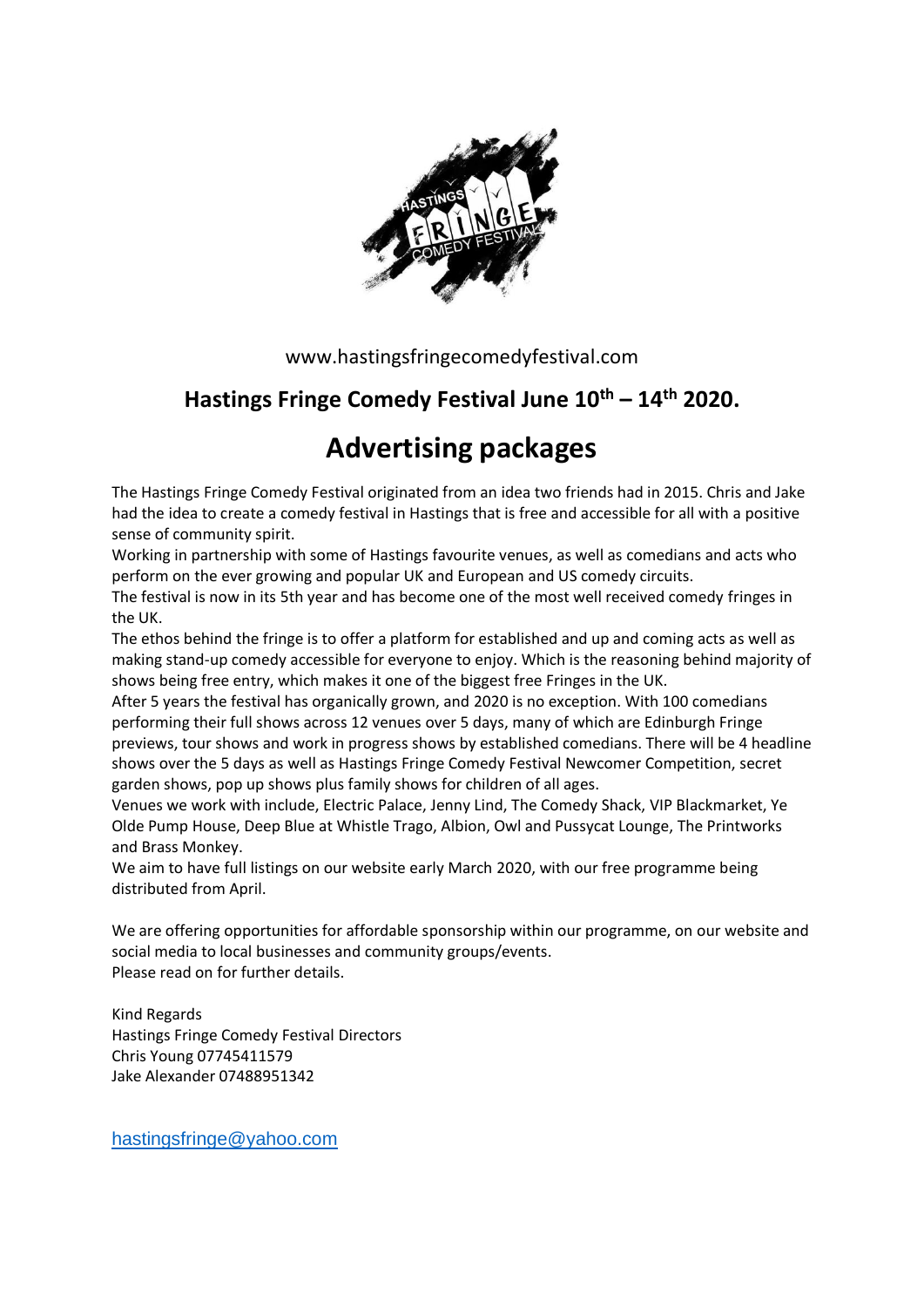

www.hastingsfringecomedyfestival.com

## **Hastings Fringe Comedy Festival June 10 th – 14 th 2020.**

# **Advertising packages**

The Hastings Fringe Comedy Festival originated from an idea two friends had in 2015. Chris and Jake had the idea to create a comedy festival in Hastings that is free and accessible for all with a positive sense of community spirit.

Working in partnership with some of Hastings favourite venues, as well as comedians and acts who perform on the ever growing and popular UK and European and US comedy circuits.

The festival is now in its 5th year and has become one of the most well received comedy fringes in the UK.

The ethos behind the fringe is to offer a platform for established and up and coming acts as well as making stand-up comedy accessible for everyone to enjoy. Which is the reasoning behind majority of shows being free entry, which makes it one of the biggest free Fringes in the UK.

After 5 years the festival has organically grown, and 2020 is no exception. With 100 comedians performing their full shows across 12 venues over 5 days, many of which are Edinburgh Fringe previews, tour shows and work in progress shows by established comedians. There will be 4 headline shows over the 5 days as well as Hastings Fringe Comedy Festival Newcomer Competition, secret garden shows, pop up shows plus family shows for children of all ages.

Venues we work with include, Electric Palace, Jenny Lind, The Comedy Shack, VIP Blackmarket, Ye Olde Pump House, Deep Blue at Whistle Trago, Albion, Owl and Pussycat Lounge, The Printworks and Brass Monkey.

We aim to have full listings on our website early March 2020, with our free programme being distributed from April.

We are offering opportunities for affordable sponsorship within our programme, on our website and social media to local businesses and community groups/events. Please read on for further details.

Kind Regards Hastings Fringe Comedy Festival Directors Chris Young 07745411579 Jake Alexander 07488951342

[hastingsfringe@yahoo.com](mailto:hastingsfringe@yahoo.com)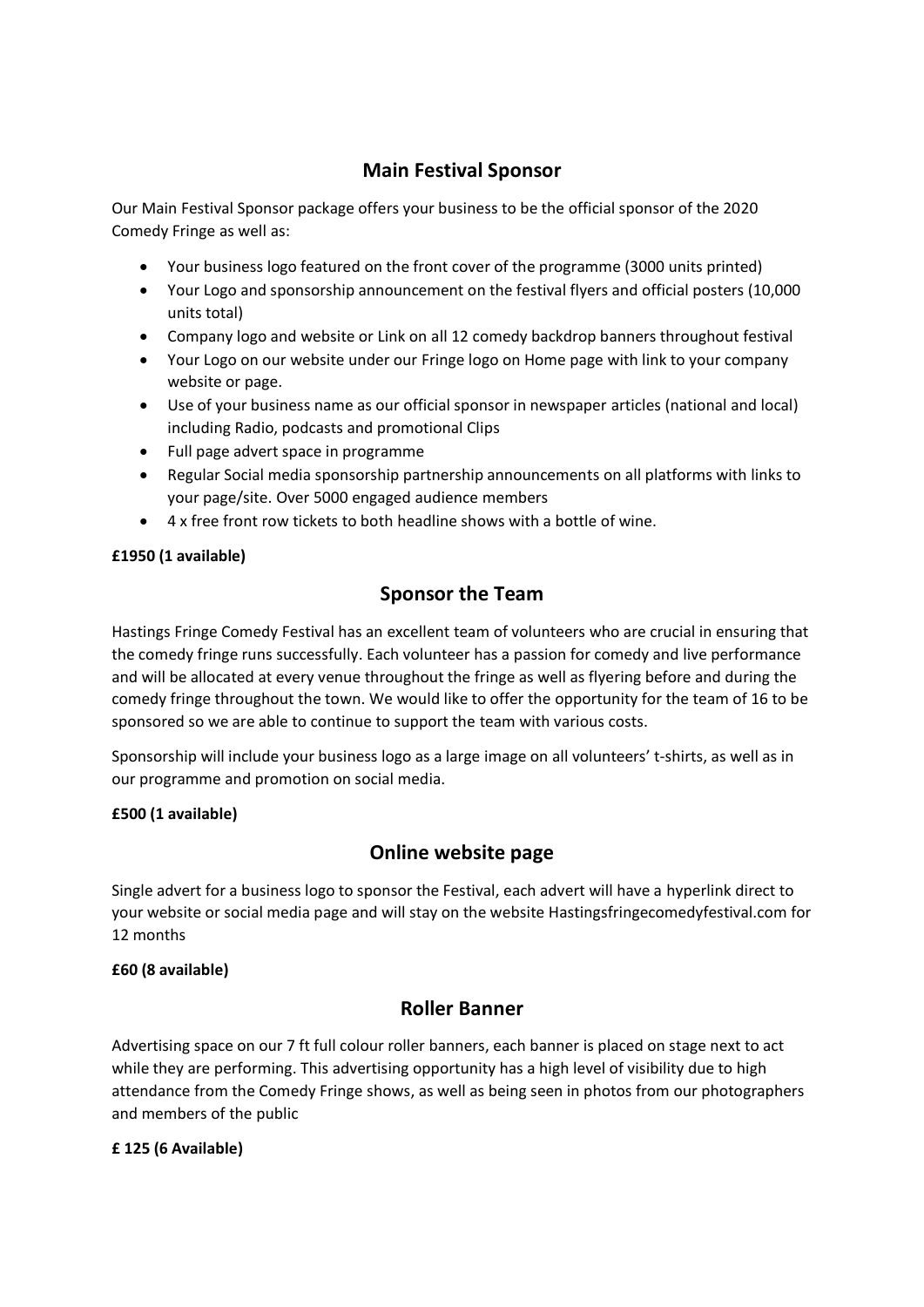## **Main Festival Sponsor**

Our Main Festival Sponsor package offers your business to be the official sponsor of the 2020 Comedy Fringe as well as:

- Your business logo featured on the front cover of the programme (3000 units printed)
- Your Logo and sponsorship announcement on the festival flyers and official posters (10,000 units total)
- Company logo and website or Link on all 12 comedy backdrop banners throughout festival
- Your Logo on our website under our Fringe logo on Home page with link to your company website or page.
- Use of your business name as our official sponsor in newspaper articles (national and local) including Radio, podcasts and promotional Clips
- Full page advert space in programme
- Regular Social media sponsorship partnership announcements on all platforms with links to your page/site. Over 5000 engaged audience members
- 4 x free front row tickets to both headline shows with a bottle of wine.

## **£1950 (1 available)**

## **Sponsor the Team**

Hastings Fringe Comedy Festival has an excellent team of volunteers who are crucial in ensuring that the comedy fringe runs successfully. Each volunteer has a passion for comedy and live performance and will be allocated at every venue throughout the fringe as well as flyering before and during the comedy fringe throughout the town. We would like to offer the opportunity for the team of 16 to be sponsored so we are able to continue to support the team with various costs.

Sponsorship will include your business logo as a large image on all volunteers' t-shirts, as well as in our programme and promotion on social media.

## **£500 (1 available)**

## **Online website page**

Single advert for a business logo to sponsor the Festival, each advert will have a hyperlink direct to your website or social media page and will stay on the website Hastingsfringecomedyfestival.com for 12 months

## **£60 (8 available)**

## **Roller Banner**

Advertising space on our 7 ft full colour roller banners, each banner is placed on stage next to act while they are performing. This advertising opportunity has a high level of visibility due to high attendance from the Comedy Fringe shows, as well as being seen in photos from our photographers and members of the public

## **£ 125 (6 Available)**